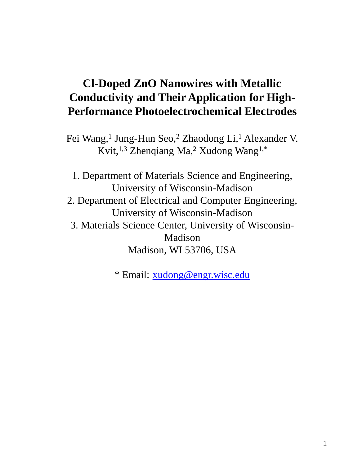## **Cl-Doped ZnO Nanowires with Metallic Conductivity and Their Application for High-Performance Photoelectrochemical Electrodes**

Fei Wang,<sup>1</sup> Jung-Hun Seo,<sup>2</sup> Zhaodong Li,<sup>1</sup> Alexander V. Kvit,1,3 Zhenqiang Ma,<sup>2</sup> Xudong Wang1,\*

1. Department of Materials Science and Engineering, University of Wisconsin-Madison 2. Department of Electrical and Computer Engineering, University of Wisconsin-Madison 3. Materials Science Center, University of Wisconsin-Madison Madison, WI 53706, USA

\* Email: [xudong@engr.wisc.edu](mailto:xudong@engr.wisc.edu)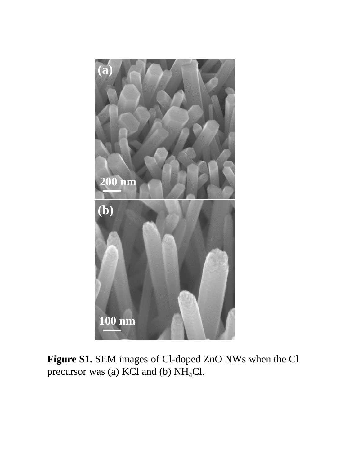

**Figure S1.** SEM images of Cl-doped ZnO NWs when the Cl precursor was (a) KCl and (b)  $NH<sub>4</sub>Cl$ .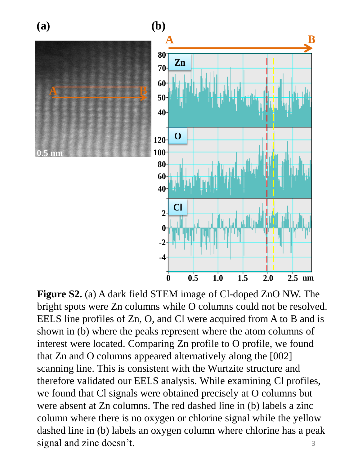

3 **Figure S2.** (a) A dark field STEM image of Cl-doped ZnO NW. The bright spots were Zn columns while O columns could not be resolved. EELS line profiles of Zn, O, and Cl were acquired from A to B and is shown in (b) where the peaks represent where the atom columns of interest were located. Comparing Zn profile to O profile, we found that Zn and O columns appeared alternatively along the [002] scanning line. This is consistent with the Wurtzite structure and therefore validated our EELS analysis. While examining Cl profiles, we found that Cl signals were obtained precisely at O columns but were absent at Zn columns. The red dashed line in (b) labels a zinc column where there is no oxygen or chlorine signal while the yellow dashed line in (b) labels an oxygen column where chlorine has a peak signal and zinc doesn't.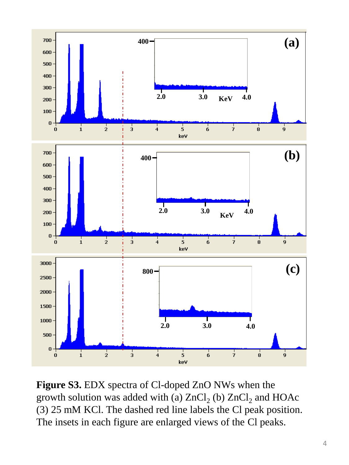

**Figure S3.** EDX spectra of Cl-doped ZnO NWs when the growth solution was added with (a)  $ZnCl_2$  (b)  $ZnCl_2$  and  $HOAc$ (3) 25 mM KCl. The dashed red line labels the Cl peak position. The insets in each figure are enlarged views of the Cl peaks.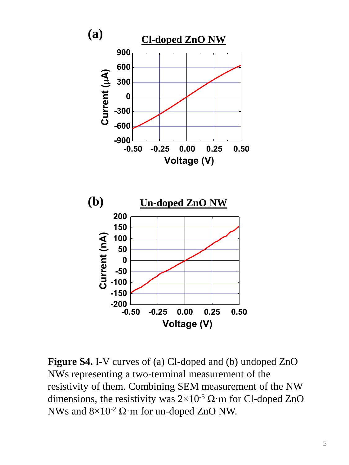

**Figure S4.** I-V curves of (a) Cl-doped and (b) undoped ZnO NWs representing a two-terminal measurement of the resistivity of them. Combining SEM measurement of the NW dimensions, the resistivity was  $2 \times 10^{-5} \Omega \cdot m$  for Cl-doped ZnO NWs and  $8\times10^{-2}$  Ω·m for un-doped ZnO NW.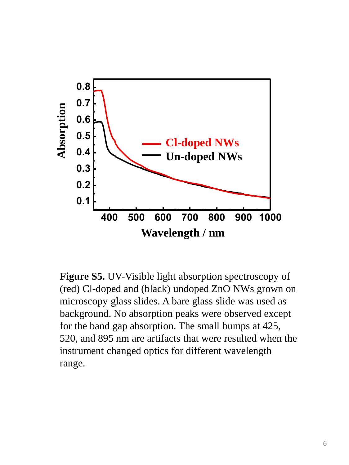

**Figure S5.** UV-Visible light absorption spectroscopy of (red) Cl-doped and (black) undoped ZnO NWs grown on microscopy glass slides. A bare glass slide was used as background. No absorption peaks were observed except for the band gap absorption. The small bumps at 425, 520, and 895 nm are artifacts that were resulted when the instrument changed optics for different wavelength range.